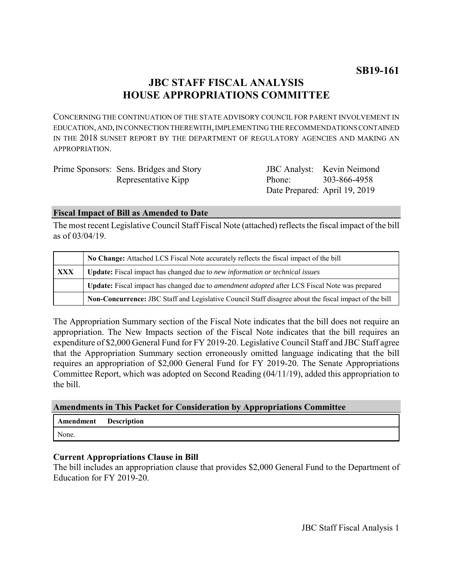# **JBC STAFF FISCAL ANALYSIS HOUSE APPROPRIATIONS COMMITTEE**

CONCERNING THE CONTINUATION OF THE STATE ADVISORY COUNCIL FOR PARENT INVOLVEMENT IN EDUCATION, AND, IN CONNECTION THEREWITH, IMPLEMENTING THE RECOMMENDATIONS CONTAINED IN THE 2018 SUNSET REPORT BY THE DEPARTMENT OF REGULATORY AGENCIES AND MAKING AN APPROPRIATION.

| Prime Sponsors: Sens. Bridges and Story |                     | <b>JBC</b> Analyst: Kevin Neimond |
|-----------------------------------------|---------------------|-----------------------------------|
| Representative Kipp                     | Phone: 303-866-4958 |                                   |
|                                         |                     | Date Prepared: April 19, 2019     |

#### **Fiscal Impact of Bill as Amended to Date**

The most recent Legislative Council Staff Fiscal Note (attached) reflects the fiscal impact of the bill as of 03/04/19.

|     | No Change: Attached LCS Fiscal Note accurately reflects the fiscal impact of the bill                       |  |
|-----|-------------------------------------------------------------------------------------------------------------|--|
| XXX | <b>Update:</b> Fiscal impact has changed due to new information or technical issues                         |  |
|     | <b>Update:</b> Fiscal impact has changed due to <i>amendment adopted</i> after LCS Fiscal Note was prepared |  |
|     | Non-Concurrence: JBC Staff and Legislative Council Staff disagree about the fiscal impact of the bill       |  |

The Appropriation Summary section of the Fiscal Note indicates that the bill does not require an appropriation. The New Impacts section of the Fiscal Note indicates that the bill requires an expenditure of \$2,000 General Fund for FY 2019-20. Legislative Council Staff and JBC Staff agree that the Appropriation Summary section erroneously omitted language indicating that the bill requires an appropriation of \$2,000 General Fund for FY 2019-20. The Senate Appropriations Committee Report, which was adopted on Second Reading (04/11/19), added this appropriation to the bill.

# **Amendments in This Packet for Consideration by Appropriations Committee**

| Amendment | <b>Description</b> |
|-----------|--------------------|
| None.     |                    |

# **Current Appropriations Clause in Bill**

The bill includes an appropriation clause that provides \$2,000 General Fund to the Department of Education for FY 2019-20.